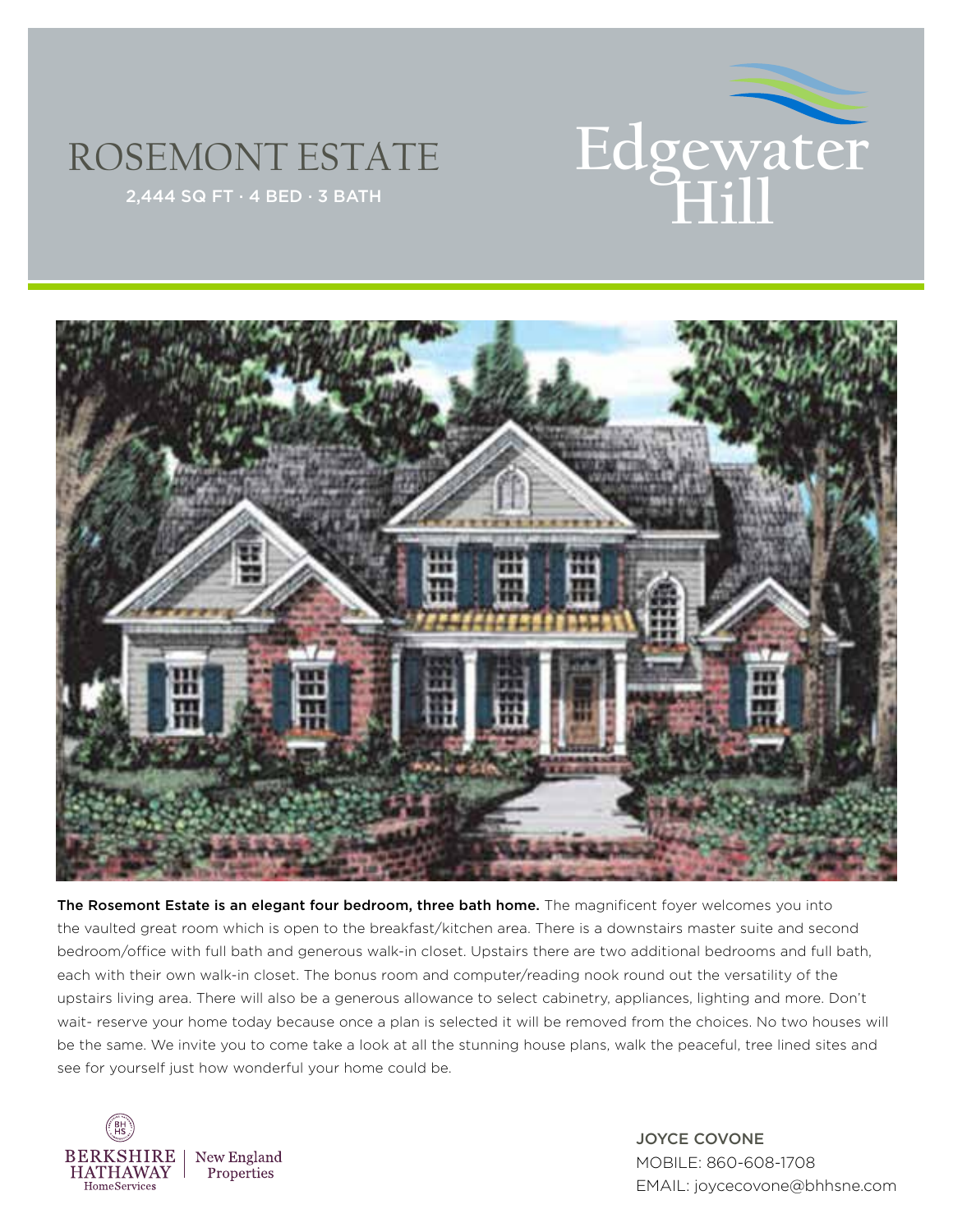

## ROSEMONT ESTATE



The Rosemont Estate is an elegant four bedroom, three bath home. The magnificent foyer welcomes you into the vaulted great room which is open to the breakfast/kitchen area. There is a downstairs master suite and second bedroom/office with full bath and generous walk-in closet. Upstairs there are two additional bedrooms and full bath, each with their own walk-in closet. The bonus room and computer/reading nook round out the versatility of the upstairs living area. There will also be a generous allowance to select cabinetry, appliances, lighting and more. Don't wait- reserve your home today because once a plan is selected it will be removed from the choices. No two houses will be the same. We invite you to come take a look at all the stunning house plans, walk the peaceful, tree lined sites and see for yourself just how wonderful your home could be.



JOYCE COVONE MOBILE: 860-608-1708 EMAIL: joycecovone@bhhsne.com